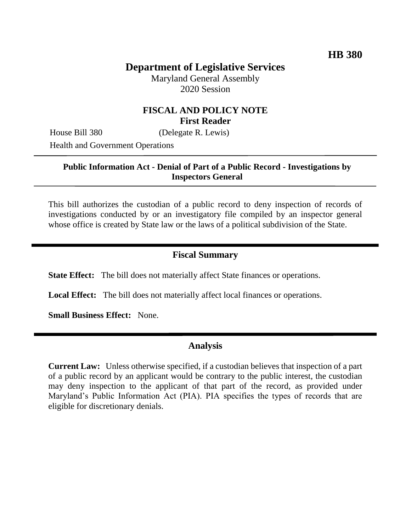# **Department of Legislative Services**

Maryland General Assembly 2020 Session

## **FISCAL AND POLICY NOTE First Reader**

House Bill 380 (Delegate R. Lewis)

Health and Government Operations

#### **Public Information Act - Denial of Part of a Public Record - Investigations by Inspectors General**

This bill authorizes the custodian of a public record to deny inspection of records of investigations conducted by or an investigatory file compiled by an inspector general whose office is created by State law or the laws of a political subdivision of the State.

## **Fiscal Summary**

**State Effect:** The bill does not materially affect State finances or operations.

**Local Effect:** The bill does not materially affect local finances or operations.

**Small Business Effect:** None.

## **Analysis**

**Current Law:** Unless otherwise specified, if a custodian believes that inspection of a part of a public record by an applicant would be contrary to the public interest, the custodian may deny inspection to the applicant of that part of the record, as provided under Maryland's Public Information Act (PIA). PIA specifies the types of records that are eligible for discretionary denials.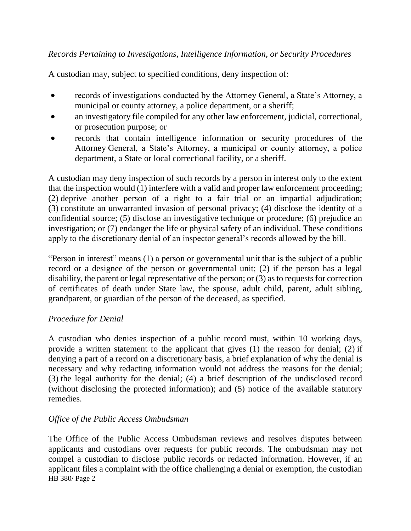## *Records Pertaining to Investigations, Intelligence Information, or Security Procedures*

A custodian may, subject to specified conditions, deny inspection of:

- records of investigations conducted by the Attorney General, a State's Attorney, a municipal or county attorney, a police department, or a sheriff;
- an investigatory file compiled for any other law enforcement, judicial, correctional, or prosecution purpose; or
- records that contain intelligence information or security procedures of the Attorney General, a State's Attorney, a municipal or county attorney, a police department, a State or local correctional facility, or a sheriff.

A custodian may deny inspection of such records by a person in interest only to the extent that the inspection would (1) interfere with a valid and proper law enforcement proceeding; (2) deprive another person of a right to a fair trial or an impartial adjudication; (3) constitute an unwarranted invasion of personal privacy; (4) disclose the identity of a confidential source; (5) disclose an investigative technique or procedure; (6) prejudice an investigation; or (7) endanger the life or physical safety of an individual. These conditions apply to the discretionary denial of an inspector general's records allowed by the bill.

"Person in interest" means (1) a person or governmental unit that is the subject of a public record or a designee of the person or governmental unit; (2) if the person has a legal disability, the parent or legal representative of the person; or (3) as to requests for correction of certificates of death under State law, the spouse, adult child, parent, adult sibling, grandparent, or guardian of the person of the deceased, as specified.

## *Procedure for Denial*

A custodian who denies inspection of a public record must, within 10 working days, provide a written statement to the applicant that gives (1) the reason for denial; (2) if denying a part of a record on a discretionary basis, a brief explanation of why the denial is necessary and why redacting information would not address the reasons for the denial; (3) the legal authority for the denial; (4) a brief description of the undisclosed record (without disclosing the protected information); and (5) notice of the available statutory remedies.

## *Office of the Public Access Ombudsman*

HB 380/ Page 2 The Office of the Public Access Ombudsman reviews and resolves disputes between applicants and custodians over requests for public records. The ombudsman may not compel a custodian to disclose public records or redacted information. However, if an applicant files a complaint with the office challenging a denial or exemption, the custodian